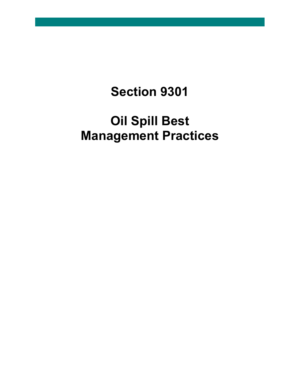# **Section 9301**

# **Oil Spill Best Management Practices**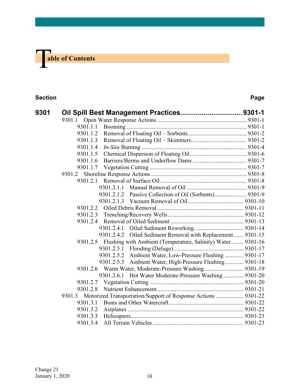

#### **Section Page**

| 9301 | Oil Spill Best Management Practices9301-1                            |            |                                                                      |  |
|------|----------------------------------------------------------------------|------------|----------------------------------------------------------------------|--|
|      | 9301.1                                                               |            |                                                                      |  |
|      | 9301.1.1                                                             |            |                                                                      |  |
|      | 9301.1.2                                                             |            |                                                                      |  |
|      | 9301.1.3                                                             |            |                                                                      |  |
|      | 9301.1.4                                                             |            |                                                                      |  |
|      | 9301.1.5                                                             |            |                                                                      |  |
|      | 9301.1.6                                                             |            |                                                                      |  |
|      | 9301.1.7                                                             |            |                                                                      |  |
|      | 9301.2                                                               |            |                                                                      |  |
|      | 9301.2.1                                                             |            |                                                                      |  |
|      |                                                                      | 9301.2.1.1 |                                                                      |  |
|      |                                                                      |            | 9301.2.1.2 Passive Collection of Oil (Sorbents) 9301-9               |  |
|      |                                                                      |            |                                                                      |  |
|      | 9301.2.2                                                             |            |                                                                      |  |
|      |                                                                      |            |                                                                      |  |
|      | 9301.2.4                                                             |            |                                                                      |  |
|      |                                                                      | 9301.2.4.1 |                                                                      |  |
|      |                                                                      |            | 9301.2.4.2 Oiled Sediment Removal with Replacement 9301-15           |  |
|      |                                                                      |            | 9301.2.5 Flushing with Ambient (Temperature, Salinity) Water 9301-16 |  |
|      |                                                                      |            |                                                                      |  |
|      |                                                                      |            | 9301.2.5.2 Ambient Water, Low-Pressure Flushing  9301-17             |  |
|      |                                                                      |            | 9301.2.5.3 Ambient Water, High-Pressure Flushing 9301-18             |  |
|      |                                                                      |            | 9301.2.6 Warm Water, Moderate-Pressure Washing 9301-19               |  |
|      |                                                                      |            | 9301.2.6.1 Hot Water Moderate-Pressure Washing  9301-20              |  |
|      | 9301.2.7                                                             |            |                                                                      |  |
|      | 9301.2.8                                                             |            |                                                                      |  |
|      | 9301.3 Motorized Transportation/Support of Response Actions  9301-22 |            |                                                                      |  |
|      | 9301.3.1                                                             |            |                                                                      |  |
|      | 9301.3.2                                                             |            |                                                                      |  |
|      | 9301.3.3                                                             |            |                                                                      |  |
|      | 9301.3.4                                                             |            |                                                                      |  |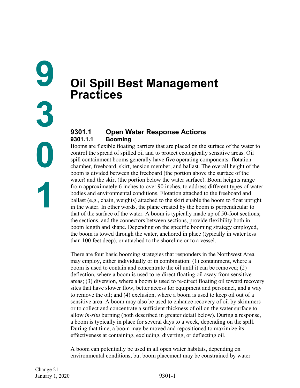# <span id="page-2-1"></span><span id="page-2-0"></span>**Oil Spill Best Management Practices**

# <span id="page-2-3"></span><span id="page-2-2"></span>**9301.1 Open Water Response Actions 9301.1.1 Booming**

Booms are flexible floating barriers that are placed on the surface of the water to control the spread of spilled oil and to protect ecologically sensitive areas. Oil spill containment booms generally have five operating components: flotation chamber, freeboard, skirt, tension member, and ballast. The overall height of the boom is divided between the freeboard (the portion above the surface of the water) and the skirt (the portion below the water surface). Boom heights range from approximately 6 inches to over 90 inches, to address different types of water bodies and environmental conditions. Flotation attached to the freeboard and ballast (e.g., chain, weights) attached to the skirt enable the boom to float upright in the water. In other words, the plane created by the boom is perpendicular to that of the surface of the water. A boom is typically made up of 50-foot sections; the sections, and the connectors between sections, provide flexibility both in boom length and shape. Depending on the specific booming strategy employed, the boom is towed through the water, anchored in place (typically in water less than 100 feet deep), or attached to the shoreline or to a vessel.

There are four basic booming strategies that responders in the Northwest Area may employ, either individually or in combination: (1) containment, where a boom is used to contain and concentrate the oil until it can be removed; (2) deflection, where a boom is used to re-direct floating oil away from sensitive areas; (3) diversion, where a boom is used to re-direct floating oil toward recovery sites that have slower flow, better access for equipment and personnel, and a way to remove the oil; and (4) exclusion, where a boom is used to keep oil out of a sensitive area. A boom may also be used to enhance recovery of oil by skimmers or to collect and concentrate a sufficient thickness of oil on the water surface to allow *in-situ* burning (both described in greater detail below). During a response, a boom is typically in place for several days to a week, depending on the spill. During that time, a boom may be moved and repositioned to maximize its effectiveness at containing, excluding, diverting, or deflecting oil.

A boom can potentially be used in all open water habitats, depending on environmental conditions, but boom placement may be constrained by water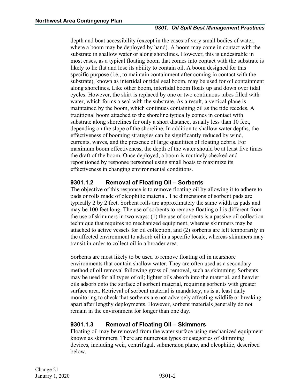#### *9301. Oil Spill Best Management Practices*

depth and boat accessibility (except in the cases of very small bodies of water, where a boom may be deployed by hand). A boom may come in contact with the substrate in shallow water or along shorelines. However, this is undesirable in most cases, as a typical floating boom that comes into contact with the substrate is likely to lie flat and lose its ability to contain oil. A boom designed for this specific purpose (i.e., to maintain containment after coming in contact with the substrate), known as intertidal or tidal seal boom, may be used for oil containment along shorelines. Like other boom, intertidal boom floats up and down over tidal cycles. However, the skirt is replaced by one or two continuous tubes filled with water, which forms a seal with the substrate. As a result, a vertical plane is maintained by the boom, which continues containing oil as the tide recedes. A traditional boom attached to the shoreline typically comes in contact with substrate along shorelines for only a short distance, usually less than 10 feet, depending on the slope of the shoreline. In addition to shallow water depths, the effectiveness of booming strategies can be significantly reduced by wind, currents, waves, and the presence of large quantities of floating debris. For maximum boom effectiveness, the depth of the water should be at least five times the draft of the boom. Once deployed, a boom is routinely checked and repositioned by response personnel using small boats to maximize its effectiveness in changing environmental conditions.

# <span id="page-3-0"></span>**9301.1.2 Removal of Floating Oil – Sorbents**

The objective of this response is to remove floating oil by allowing it to adhere to pads or rolls made of oleophilic material. The dimensions of sorbent pads are typically 2 by 2 feet. Sorbent rolls are approximately the same width as pads and may be 100 feet long. The use of sorbents to remove floating oil is different from the use of skimmers in two ways: (1) the use of sorbents is a passive oil collection technique that requires no mechanized equipment, whereas skimmers may be attached to active vessels for oil collection, and (2) sorbents are left temporarily in the affected environment to adsorb oil in a specific locale, whereas skimmers may transit in order to collect oil in a broader area.

Sorbents are most likely to be used to remove floating oil in nearshore environments that contain shallow water. They are often used as a secondary method of oil removal following gross oil removal, such as skimming. Sorbents may be used for all types of oil; lighter oils absorb into the material, and heavier oils adsorb onto the surface of sorbent material, requiring sorbents with greater surface area. Retrieval of sorbent material is mandatory, as is at least daily monitoring to check that sorbents are not adversely affecting wildlife or breaking apart after lengthy deployments. However, sorbent materials generally do not remain in the environment for longer than one day.

#### <span id="page-3-1"></span>**9301.1.3 Removal of Floating Oil – Skimmers**

Floating oil may be removed from the water surface using mechanized equipment known as skimmers. There are numerous types or categories of skimming devices, including weir, centrifugal, submersion plane, and oleophilic, described below.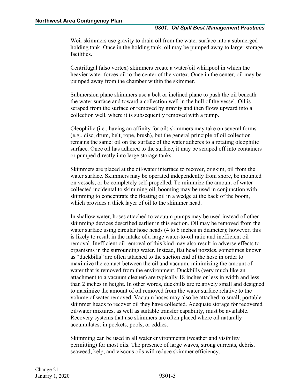Weir skimmers use gravity to drain oil from the water surface into a submerged holding tank. Once in the holding tank, oil may be pumped away to larger storage facilities.

Centrifugal (also vortex) skimmers create a water/oil whirlpool in which the heavier water forces oil to the center of the vortex. Once in the center, oil may be pumped away from the chamber within the skimmer.

Submersion plane skimmers use a belt or inclined plane to push the oil beneath the water surface and toward a collection well in the hull of the vessel. Oil is scraped from the surface or removed by gravity and then flows upward into a collection well, where it is subsequently removed with a pump.

Oleophilic (i.e., having an affinity for oil) skimmers may take on several forms (e.g., disc, drum, belt, rope, brush), but the general principle of oil collection remains the same: oil on the surface of the water adheres to a rotating oleophilic surface. Once oil has adhered to the surface, it may be scraped off into containers or pumped directly into large storage tanks.

Skimmers are placed at the oil/water interface to recover, or skim, oil from the water surface. Skimmers may be operated independently from shore, be mounted on vessels, or be completely self-propelled. To minimize the amount of water collected incidental to skimming oil, booming may be used in conjunction with skimming to concentrate the floating oil in a wedge at the back of the boom, which provides a thick layer of oil to the skimmer head.

In shallow water, hoses attached to vacuum pumps may be used instead of other skimming devices described earlier in this section. Oil may be removed from the water surface using circular hose heads (4 to 6 inches in diameter); however, this is likely to result in the intake of a large water-to-oil ratio and inefficient oil removal. Inefficient oil removal of this kind may also result in adverse effects to organisms in the surrounding water. Instead, flat head nozzles, sometimes known as "duckbills" are often attached to the suction end of the hose in order to maximize the contact between the oil and vacuum, minimizing the amount of water that is removed from the environment. Duckbills (very much like an attachment to a vacuum cleaner) are typically 18 inches or less in width and less than 2 inches in height. In other words, duckbills are relatively small and designed to maximize the amount of oil removed from the water surface relative to the volume of water removed. Vacuum hoses may also be attached to small, portable skimmer heads to recover oil they have collected. Adequate storage for recovered oil/water mixtures, as well as suitable transfer capability, must be available. Recovery systems that use skimmers are often placed where oil naturally accumulates: in pockets, pools, or eddies.

Skimming can be used in all water environments (weather and visibility permitting) for most oils. The presence of large waves, strong currents, debris, seaweed, kelp, and viscous oils will reduce skimmer efficiency.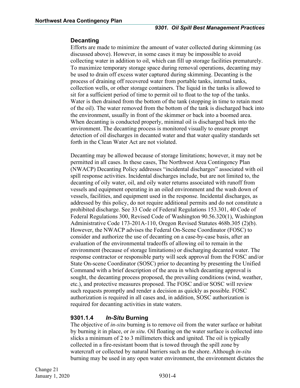#### **Decanting**

Efforts are made to minimize the amount of water collected during skimming (as discussed above). However, in some cases it may be impossible to avoid collecting water in addition to oil, which can fill up storage facilities prematurely. To maximize temporary storage space during removal operations, decanting may be used to drain off excess water captured during skimming. Decanting is the process of draining off recovered water from portable tanks, internal tanks, collection wells, or other storage containers. The liquid in the tanks is allowed to sit for a sufficient period of time to permit oil to float to the top of the tanks. Water is then drained from the bottom of the tank (stopping in time to retain most of the oil). The water removed from the bottom of the tank is discharged back into the environment, usually in front of the skimmer or back into a boomed area. When decanting is conducted properly, minimal oil is discharged back into the environment. The decanting process is monitored visually to ensure prompt detection of oil discharges in decanted water and that water quality standards set forth in the Clean Water Act are not violated.

Decanting may be allowed because of storage limitations; however, it may not be permitted in all cases. In these cases, The Northwest Area Contingency Plan (NWACP) Decanting Policy addresses "incidental discharges" associated with oil spill response activities. Incidental discharges include, but are not limited to, the decanting of oily water, oil, and oily water returns associated with runoff from vessels and equipment operating in an oiled environment and the wash down of vessels, facilities, and equipment used in the response. Incidental discharges, as addressed by this policy, do not require additional permits and do not constitute a prohibited discharge. See 33 Code of Federal Regulations 153.301, 40 Code of Federal Regulations 300, Revised Code of Washington 90.56.320(1), Washington Administrative Code 173-201A-110, Oregon Revised Statutes 468b.305 (2)(b). However, the NWACP advises the Federal On-Scene Coordinator (FOSC) to consider and authorize the use of decanting on a case-by-case basis, after an evaluation of the environmental tradeoffs of allowing oil to remain in the environment (because of storage limitations) or discharging decanted water. The response contractor or responsible party will seek approval from the FOSC and/or State On-scene Coordinator (SOSC) prior to decanting by presenting the Unified Command with a brief description of the area in which decanting approval is sought, the decanting process proposed, the prevailing conditions (wind, weather, etc.), and protective measures proposed. The FOSC and/or SOSC will review such requests promptly and render a decision as quickly as possible. FOSC authorization is required in all cases and, in addition, SOSC authorization is required for decanting activities in state waters.

#### <span id="page-5-0"></span>**9301.1.4** *In-Situ* **Burning**

The objective of *in-situ* burning is to remove oil from the water surface or habitat by burning it in place, or *in situ*. Oil floating on the water surface is collected into slicks a minimum of 2 to 3 millimeters thick and ignited. The oil is typically collected in a fire-resistant boom that is towed through the spill zone by watercraft or collected by natural barriers such as the shore. Although *in-situ* burning may be used in any open water environment, the environment dictates the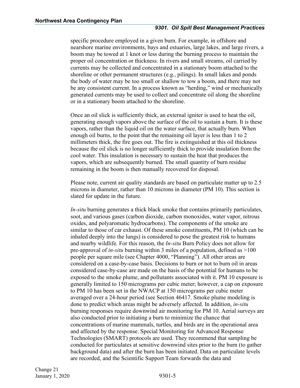#### *9301. Oil Spill Best Management Practices*

specific procedure employed in a given burn. For example, in offshore and nearshore marine environments, bays and estuaries, large lakes, and large rivers, a boom may be towed at 1 knot or less during the burning process to maintain the proper oil concentration or thickness. In rivers and small streams, oil carried by currents may be collected and concentrated in a stationary boom attached to the shoreline or other permanent structures (e.g., pilings). In small lakes and ponds the body of water may be too small or shallow to tow a boom, and there may not be any consistent current. In a process known as "herding," wind or mechanically generated currents may be used to collect and concentrate oil along the shoreline or in a stationary boom attached to the shoreline.

Once an oil slick is sufficiently thick, an external igniter is used to heat the oil, generating enough vapors above the surface of the oil to sustain a burn. It is these vapors, rather than the liquid oil on the water surface, that actually burn. When enough oil burns, to the point that the remaining oil layer is less than 1 to 2 millimeters thick, the fire goes out. The fire is extinguished at this oil thickness because the oil slick is no longer sufficiently thick to provide insulation from the cool water. This insulation is necessary to sustain the heat that produces the vapors, which are subsequently burned. The small quantity of burn residue remaining in the boom is then manually recovered for disposal.

Please note, current air quality standards are based on particulate matter up to 2.5 microns in diameter, rather than 10 microns in diameter (PM 10). This section is slated for update in the future.

*In-situ* burning generates a thick black smoke that contains primarily particulates, soot, and various gases (carbon dioxide, carbon monoxides, water vapor, nitrous oxides, and polyaromatic hydrocarbons). The components of the smoke are similar to those of car exhaust. Of these smoke constituents, PM 10 (which can be inhaled deeply into the lungs) is considered to pose the greatest risk to humans and nearby wildlife. For this reason, the *In-situ* Burn Policy does not allow for pre-approval of *in-situ* burning within 3 miles of a population, defined as >100 people per square mile (see Chapter 4000, "Planning"). All other areas are considered on a case-by-case basis. Decisions to burn or not to burn oil in areas considered case-by-case are made on the basis of the potential for humans to be exposed to the smoke plume, and pollutants associated with it. PM 10 exposure is generally limited to 150 micrograms per cubic meter; however, a cap on exposure to PM 10 has been set in the NWACP at 150 micrograms per cubic meter averaged over a 24-hour period (see Section 46417. Smoke plume modeling is done to predict which areas might be adversely affected. In addition, *in-situ*  burning responses require downwind air monitoring for PM 10. Aerial surveys are also conducted prior to initiating a burn to minimize the chance that concentrations of marine mammals, turtles, and birds are in the operational area and affected by the response. Special Monitoring for Advanced Response Technologies (SMART) protocols are used. They recommend that sampling be conducted for particulates at sensitive downwind sites prior to the burn (to gather background data) and after the burn has been initiated. Data on particulate levels are recorded, and the Scientific Support Team forwards the data and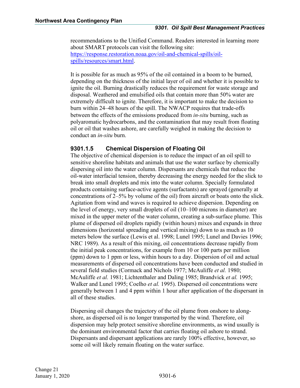recommendations to the Unified Command. Readers interested in learning more about SMART protocols can visit the following site: [https://response.restoration.noaa.gov/oil-and-chemical-spills/oil](https://response.restoration.noaa.gov/oil-and-chemical-spills/oil-spills/resources/smart.html)[spills/resources/smart.html.](https://response.restoration.noaa.gov/oil-and-chemical-spills/oil-spills/resources/smart.html)

It is possible for as much as 95% of the oil contained in a boom to be burned, depending on the thickness of the initial layer of oil and whether it is possible to ignite the oil. Burning drastically reduces the requirement for waste storage and disposal. Weathered and emulsified oils that contain more than 50% water are extremely difficult to ignite. Therefore, it is important to make the decision to burn within 24–48 hours of the spill. The NWACP requires that trade-offs between the effects of the emissions produced from *in-situ* burning, such as polyaromatic hydrocarbons, and the contamination that may result from floating oil or oil that washes ashore, are carefully weighed in making the decision to conduct an *in-situ* burn.

# <span id="page-7-0"></span>**9301.1.5 Chemical Dispersion of Floating Oil**

The objective of chemical dispersion is to reduce the impact of an oil spill to sensitive shoreline habitats and animals that use the water surface by chemically dispersing oil into the water column. Dispersants are chemicals that reduce the oil-water interfacial tension, thereby decreasing the energy needed for the slick to break into small droplets and mix into the water column. Specially formulated products containing surface-active agents (surfactants) are sprayed (generally at concentrations of 2–5% by volume of the oil) from aircraft or boats onto the slick. Agitation from wind and waves is required to achieve dispersion. Depending on the level of energy, very small droplets of oil (10–100 microns in diameter) are mixed in the upper meter of the water column, creating a sub-surface plume. This plume of dispersed oil droplets rapidly (within hours) mixes and expands in three dimensions (horizontal spreading and vertical mixing) down to as much as 10 meters below the surface (Lewis et al. 1998; Lunel 1995; Lunel and Davies 1996; NRC 1989). As a result of this mixing, oil concentrations decrease rapidly from the initial peak concentrations, for example from 10 or 100 parts per million (ppm) down to 1 ppm or less, within hours to a day. Dispersion of oil and actual measurements of dispersed oil concentrations have been conducted and studied in several field studies (Cormack and Nichols 1977; McAuliffe *et al.* 1980; McAuliffe *et al.* 1981; Lichtenthaler and Daling 1985; Brandvick *et al.* 1995; Walker and Lunel 1995; Coelho *et al.* 1995). Dispersed oil concentrations were generally between 1 and 4 ppm within 1 hour after application of the dispersant in all of these studies.

Dispersing oil changes the trajectory of the oil plume from onshore to alongshore, as dispersed oil is no longer transported by the wind. Therefore, oil dispersion may help protect sensitive shoreline environments, as wind usually is the dominant environmental factor that carries floating oil ashore to strand. Dispersants and dispersant applications are rarely 100% effective, however, so some oil will likely remain floating on the water surface.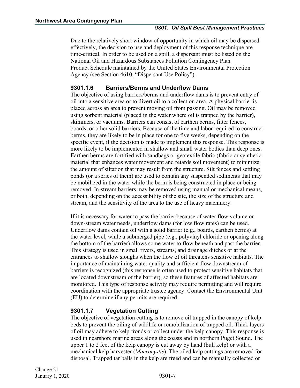Due to the relatively short window of opportunity in which oil may be dispersed effectively, the decision to use and deployment of this response technique are time-critical. In order to be used on a spill, a dispersant must be listed on the National Oil and Hazardous Substances Pollution Contingency Plan Product Schedule maintained by the United States Environmental Protection Agency (see Section 4610, "Dispersant Use Policy").

# <span id="page-8-0"></span>**9301.1.6 Barriers/Berms and Underflow Dams**

The objective of using barriers/berms and underflow dams is to prevent entry of oil into a sensitive area or to divert oil to a collection area. A physical barrier is placed across an area to prevent moving oil from passing. Oil may be removed using sorbent material (placed in the water where oil is trapped by the barrier), skimmers, or vacuums. Barriers can consist of earthen berms, filter fences, boards, or other solid barriers. Because of the time and labor required to construct berms, they are likely to be in place for one to five weeks, depending on the specific event, if the decision is made to implement this response. This response is more likely to be implemented in shallow and small water bodies than deep ones. Earthen berms are fortified with sandbags or geotextile fabric (fabric or synthetic material that enhances water movement and retards soil movement) to minimize the amount of siltation that may result from the structure. Silt fences and settling ponds (or a series of them) are used to contain any suspended sediments that may be mobilized in the water while the berm is being constructed in place or being removed. In-stream barriers may be removed using manual or mechanical means, or both, depending on the accessibility of the site, the size of the structure and stream, and the sensitivity of the area to the use of heavy machinery.

If it is necessary for water to pass the barrier because of water flow volume or down-stream water needs, underflow dams (for low flow rates) can be used. Underflow dams contain oil with a solid barrier (e.g., boards, earthen berms) at the water level, while a submerged pipe (e.g., polyvinyl chloride or opening along the bottom of the barrier) allows some water to flow beneath and past the barrier. This strategy is used in small rivers, streams, and drainage ditches or at the entrances to shallow sloughs when the flow of oil threatens sensitive habitats. The importance of maintaining water quality and sufficient flow downstream of barriers is recognized (this response is often used to protect sensitive habitats that are located downstream of the barrier), so these features of affected habitats are monitored. This type of response activity may require permitting and will require coordination with the appropriate trustee agency. Contact the Environmental Unit (EU) to determine if any permits are required.

# <span id="page-8-1"></span>**9301.1.7 Vegetation Cutting**

The objective of vegetation cutting is to remove oil trapped in the canopy of kelp beds to prevent the oiling of wildlife or remobilization of trapped oil. Thick layers of oil may adhere to kelp fronds or collect under the kelp canopy. This response is used in nearshore marine areas along the coasts and in northern Puget Sound. The upper 1 to 2 feet of the kelp canopy is cut away by hand (bull kelp) or with a mechanical kelp harvester (*Macrocystis*). The oiled kelp cuttings are removed for disposal. Trapped tar balls in the kelp are freed and can be manually collected or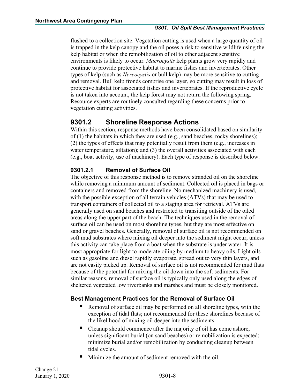flushed to a collection site. Vegetation cutting is used when a large quantity of oil is trapped in the kelp canopy and the oil poses a risk to sensitive wildlife using the kelp habitat or when the remobilization of oil to other adjacent sensitive environments is likely to occur. *Macrocystis* kelp plants grow very rapidly and continue to provide protective habitat to marine fishes and invertebrates. Other types of kelp (such as *Nereocystis* or bull kelp) may be more sensitive to cutting and removal. Bull kelp fronds comprise one layer, so cutting may result in loss of protective habitat for associated fishes and invertebrates. If the reproductive cycle is not taken into account, the kelp forest may not return the following spring. Resource experts are routinely consulted regarding these concerns prior to vegetation cutting activities.

# <span id="page-9-0"></span>**9301.2 Shoreline Response Actions**

Within this section, response methods have been consolidated based on similarity of (1) the habitats in which they are used (e.g., sand beaches, rocky shorelines); (2) the types of effects that may potentially result from them (e.g., increases in water temperature, siltation); and (3) the overall activities associated with each (e.g., boat activity, use of machinery). Each type of response is described below.

# <span id="page-9-1"></span>**9301.2.1 Removal of Surface Oil**

The objective of this response method is to remove stranded oil on the shoreline while removing a minimum amount of sediment. Collected oil is placed in bags or containers and removed from the shoreline. No mechanized machinery is used, with the possible exception of all terrain vehicles (ATVs) that may be used to transport containers of collected oil to a staging area for retrieval. ATVs are generally used on sand beaches and restricted to transiting outside of the oiled areas along the upper part of the beach. The techniques used in the removal of surface oil can be used on most shoreline types, but they are most effective on sand or gravel beaches. Generally, removal of surface oil is not recommended on soft mud substrates where mixing oil deeper into the sediment might occur, unless this activity can take place from a boat when the substrate is under water. It is most appropriate for light to moderate oiling by medium to heavy oils. Light oils such as gasoline and diesel rapidly evaporate, spread out to very thin layers, and are not easily picked up. Removal of surface oil is not recommended for mud flats because of the potential for mixing the oil down into the soft sediments. For similar reasons, removal of surface oil is typically only used along the edges of sheltered vegetated low riverbanks and marshes and must be closely monitored.

# **Best Management Practices for the Removal of Surface Oil**

- Removal of surface oil may be performed on all shoreline types, with the exception of tidal flats; not recommended for these shorelines because of the likelihood of mixing oil deeper into the sediments.
- Cleanup should commence after the majority of oil has come ashore, unless significant burial (on sand beaches) or remobilization is expected; minimize burial and/or remobilization by conducting cleanup between tidal cycles.
- Minimize the amount of sediment removed with the oil.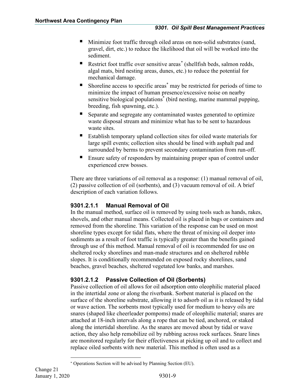- Minimize foot traffic through oiled areas on non-solid substrates (sand, gravel, dirt, etc.) to reduce the likelihood that oil will be worked into the sediment.
- Restrict foot traffic over sensitive areas<sup>[\\*](#page-10-2)</sup> (shellfish beds, salmon redds, algal mats, bird nesting areas, dunes, etc.) to reduce the potential for mechanical damage.
- Shoreline access to specific areas\* may be restricted for periods of time to minimize the impact of human presence/excessive noise on nearby sensitive biological populations<sup>\*</sup> (bird nesting, marine mammal pupping, breeding, fish spawning, etc.).
- Separate and segregate any contaminated wastes generated to optimize waste disposal stream and minimize what has to be sent to hazardous waste sites.
- Establish temporary upland collection sites for oiled waste materials for large spill events; collection sites should be lined with asphalt pad and surrounded by berms to prevent secondary contamination from run-off.
- Ensure safety of responders by maintaining proper span of control under experienced crew bosses.

There are three variations of oil removal as a response: (1) manual removal of oil, (2) passive collection of oil (sorbents), and (3) vacuum removal of oil. A brief description of each variation follows.

# <span id="page-10-0"></span>**9301.2.1.1 Manual Removal of Oil**

In the manual method, surface oil is removed by using tools such as hands, rakes, shovels, and other manual means. Collected oil is placed in bags or containers and removed from the shoreline. This variation of the response can be used on most shoreline types except for tidal flats, where the threat of mixing oil deeper into sediments as a result of foot traffic is typically greater than the benefits gained through use of this method. Manual removal of oil is recommended for use on sheltered rocky shorelines and man-made structures and on sheltered rubble slopes. It is conditionally recommended on exposed rocky shorelines, sand beaches, gravel beaches, sheltered vegetated low banks, and marshes.

# <span id="page-10-1"></span>**9301.2.1.2 Passive Collection of Oil (Sorbents)**

Passive collection of oil allows for oil adsorption onto oleophilic material placed in the intertidal zone or along the riverbank. Sorbent material is placed on the surface of the shoreline substrate, allowing it to adsorb oil as it is released by tidal or wave action. The sorbents most typically used for medium to heavy oils are snares (shaped like cheerleader pompoms) made of oleophilic material; snares are attached at 18-inch intervals along a rope that can be tied, anchored, or staked along the intertidal shoreline. As the snares are moved about by tidal or wave action, they also help remobilize oil by rubbing across rock surfaces. Snare lines are monitored regularly for their effectiveness at picking up oil and to collect and replace oiled sorbents with new material. This method is often used as a

<span id="page-10-2"></span><sup>∗</sup> Operations Section will be advised by Planning Section (EU).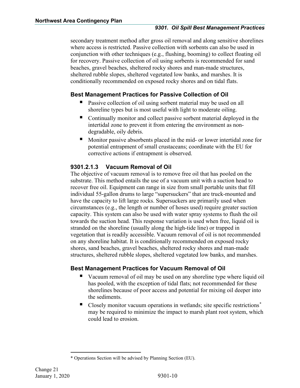#### *9301. Oil Spill Best Management Practices*

secondary treatment method after gross oil removal and along sensitive shorelines where access is restricted. Passive collection with sorbents can also be used in conjunction with other techniques (e.g., flushing, booming) to collect floating oil for recovery. Passive collection of oil using sorbents is recommended for sand beaches, gravel beaches, sheltered rocky shores and man-made structures, sheltered rubble slopes, sheltered vegetated low banks, and marshes. It is conditionally recommended on exposed rocky shores and on tidal flats.

# **Best Management Practices for Passive Collection of Oil**

- Passive collection of oil using sorbent material may be used on all shoreline types but is most useful with light to moderate oiling.
- Continually monitor and collect passive sorbent material deployed in the intertidal zone to prevent it from entering the environment as nondegradable, oily debris.
- Monitor passive absorbents placed in the mid- or lower intertidal zone for potential entrapment of small crustaceans; coordinate with the EU for corrective actions if entrapment is observed.

# <span id="page-11-0"></span>**9301.2.1.3 Vacuum Removal of Oil**

The objective of vacuum removal is to remove free oil that has pooled on the substrate. This method entails the use of a vacuum unit with a suction head to recover free oil. Equipment can range in size from small portable units that fill individual 55-gallon drums to large "supersuckers" that are truck-mounted and have the capacity to lift large rocks. Supersuckers are primarily used when circumstances (e.g., the length or number of hoses used) require greater suction capacity. This system can also be used with water spray systems to flush the oil towards the suction head. This response variation is used when free, liquid oil is stranded on the shoreline (usually along the high-tide line) or trapped in vegetation that is readily accessible. Vacuum removal of oil is not recommended on any shoreline habitat. It is conditionally recommended on exposed rocky shores, sand beaches, gravel beaches, sheltered rocky shores and man-made structures, sheltered rubble slopes, sheltered vegetated low banks, and marshes.

# **Best Management Practices for Vacuum Removal of Oil**

- Vacuum removal of oil may be used on any shoreline type where liquid oil has pooled, with the exception of tidal flats; not recommended for these shorelines because of poor access and potential for mixing oil deeper into the sediments.
- Closely monitor vacuum operations in wetlands; site specific restrictions<sup>[\\*](#page-11-1)</sup> may be required to minimize the impact to marsh plant root system, which could lead to erosion.

<span id="page-11-1"></span><sup>\*</sup> Operations Section will be advised by Planning Section (EU).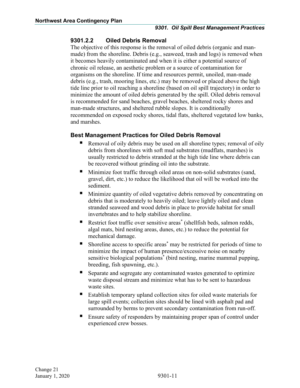#### <span id="page-12-0"></span>**9301.2.2 Oiled Debris Removal**

The objective of this response is the removal of oiled debris (organic and manmade) from the shoreline. Debris (e.g., seaweed, trash and logs) is removed when it becomes heavily contaminated and when it is either a potential source of chronic oil release, an aesthetic problem or a source of contamination for organisms on the shoreline. If time and resources permit, unoiled, man-made debris (e.g., trash, mooring lines, etc.) may be removed or placed above the high tide line prior to oil reaching a shoreline (based on oil spill trajectory) in order to minimize the amount of oiled debris generated by the spill. Oiled debris removal is recommended for sand beaches, gravel beaches, sheltered rocky shores and man-made structures, and sheltered rubble slopes. It is conditionally recommended on exposed rocky shores, tidal flats, sheltered vegetated low banks, and marshes.

# **Best Management Practices for Oiled Debris Removal**

- Removal of oily debris may be used on all shoreline types; removal of oily debris from shorelines with soft mud substrates (mudflats, marshes) is usually restricted to debris stranded at the high tide line where debris can be recovered without grinding oil into the substrate.
- Minimize foot traffic through oiled areas on non-solid substrates (sand, gravel, dirt, etc.) to reduce the likelihood that oil will be worked into the sediment.
- Minimize quantity of oiled vegetative debris removed by concentrating on debris that is moderately to heavily oiled; leave lightly oiled and clean stranded seaweed and wood debris in place to provide habitat for small invertebrates and to help stabilize shoreline.
- Restrict foot traffic over sensitive areas<sup>\*</sup> (shellfish beds, salmon redds, algal mats, bird nesting areas, dunes, etc.) to reduce the potential for mechanical damage.
- Shoreline access to specific areas\* may be restricted for periods of time to minimize the impact of human presence/excessive noise on nearby sensitive biological populations\* (bird nesting, marine mammal pupping, breeding, fish spawning, etc.).
- Separate and segregate any contaminated wastes generated to optimize waste disposal stream and minimize what has to be sent to hazardous waste sites.
- Establish temporary upland collection sites for oiled waste materials for large spill events; collection sites should be lined with asphalt pad and surrounded by berms to prevent secondary contamination from run-off.
- Ensure safety of responders by maintaining proper span of control under experienced crew bosses.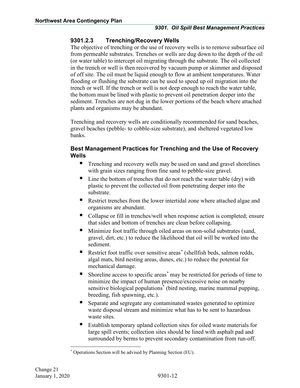# <span id="page-13-0"></span>**9301.2.3 Trenching/Recovery Wells**

The objective of trenching or the use of recovery wells is to remove subsurface oil from permeable substrates. Trenches or wells are dug down to the depth of the oil (or water table) to intercept oil migrating through the substrate. The oil collected in the trench or well is then recovered by vacuum pump or skimmer and disposed of off site. The oil must be liquid enough to flow at ambient temperatures. Water flooding or flushing the substrate can be used to speed up oil migration into the trench or well. If the trench or well is not deep enough to reach the water table, the bottom must be lined with plastic to prevent oil penetration deeper into the sediment. Trenches are not dug in the lower portions of the beach where attached plants and organisms may be abundant.

Trenching and recovery wells are conditionally recommended for sand beaches, gravel beaches (pebble- to cobble-size substrate), and sheltered vegetated low banks.

# **Best Management Practices for Trenching and the Use of Recovery Wells**

- **Trenching and recovery wells may be used on sand and gravel shorelines** with grain sizes ranging from fine sand to pebble-size gravel.
- $\blacksquare$  Line the bottom of trenches that do not reach the water table (dry) with plastic to prevent the collected oil from penetrating deeper into the substrate.
- Restrict trenches from the lower intertidal zone where attached algae and organisms are abundant.
- Collapse or fill in trenches/well when response action is completed; ensure that sides and bottom of trenches are clean before collapsing.
- Minimize foot traffic through oiled areas on non-solid substrates (sand, gravel, dirt, etc.) to reduce the likelihood that oil will be worked into the sediment.
- Restrict foot traffic over sensitive areas<sup>[\\*](#page-13-1)</sup> (shellfish beds, salmon redds, algal mats, bird nesting areas, dunes, etc.) to reduce the potential for mechanical damage.
- Shoreline access to specific areas[\\*](#page-13-2) may be restricted for periods of time to minimize the impact of human presence/excessive noise on nearby sensitive biological populations<sup>\*</sup> (bird nesting, marine mammal pupping, breeding, fish spawning, etc.).
- Separate and segregate any contaminated wastes generated to optimize waste disposal stream and minimize what has to be sent to hazardous waste sites.
- Establish temporary upland collection sites for oiled waste materials for large spill events; collection sites should be lined with asphalt pad and surrounded by berms to prevent secondary contamination from run-off.

<span id="page-13-2"></span><span id="page-13-1"></span><sup>\*</sup> Operations Section will be advised by Planning Section (EU).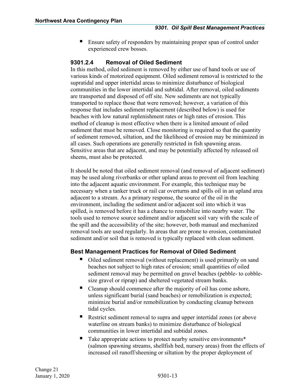Ensure safety of responders by maintaining proper span of control under experienced crew bosses.

# <span id="page-14-0"></span>**9301.2.4 Removal of Oiled Sediment**

In this method, oiled sediment is removed by either use of hand tools or use of various kinds of motorized equipment. Oiled sediment removal is restricted to the supratidal and upper intertidal areas to minimize disturbance of biological communities in the lower intertidal and subtidal. After removal, oiled sediments are transported and disposed of off site. New sediments are not typically transported to replace those that were removed; however, a variation of this response that includes sediment replacement (described below) is used for beaches with low natural replenishment rates or high rates of erosion. This method of cleanup is most effective when there is a limited amount of oiled sediment that must be removed. Close monitoring is required so that the quantity of sediment removed, siltation, and the likelihood of erosion may be minimized in all cases. Such operations are generally restricted in fish spawning areas. Sensitive areas that are adjacent, and may be potentially affected by released oil sheens, must also be protected.

It should be noted that oiled sediment removal (and removal of adjacent sediment) may be used along riverbanks or other upland areas to prevent oil from leaching into the adjacent aquatic environment. For example, this technique may be necessary when a tanker truck or rail car overturns and spills oil in an upland area adjacent to a stream. As a primary response, the source of the oil in the environment, including the sediment and/or adjacent soil into which it was spilled, is removed before it has a chance to remobilize into nearby water. The tools used to remove source sediment and/or adjacent soil vary with the scale of the spill and the accessibility of the site; however, both manual and mechanized removal tools are used regularly. In areas that are prone to erosion, contaminated sediment and/or soil that is removed is typically replaced with clean sediment.

# **Best Management Practices for Removal of Oiled Sediment**

- Oiled sediment removal (without replacement) is used primarily on sand beaches not subject to high rates of erosion; small quantities of oiled sediment removal may be permitted on gravel beaches (pebble- to cobblesize gravel or riprap) and sheltered vegetated stream banks.
- Cleanup should commence after the majority of oil has come ashore, unless significant burial (sand beaches) or remobilization is expected; minimize burial and/or remobilization by conducting cleanup between tidal cycles.
- Restrict sediment removal to supra and upper intertidal zones (or above waterline on stream banks) to minimize disturbance of biological communities in lower intertidal and subtidal zones.
- Take appropriate actions to protect nearby sensitive environments\* (salmon spawning streams, shellfish bed, nursery areas) from the effects of increased oil runoff/sheening or siltation by the proper deployment of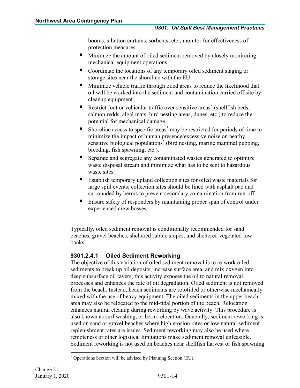booms, siltation curtains, sorbents, etc.; monitor for effectiveness of protection measures.

- **Minimize the amount of oiled sediment removed by closely monitoring** mechanical equipment operations.
- Coordinate the locations of any temporary oiled sediment staging or storage sites near the shoreline with the EU.
- Minimize vehicle traffic through oiled areas to reduce the likelihood that oil will be worked into the sediment and contamination carried off site by cleanup equipment.
- Restrict foot or vehicular traffic over sensitive areas<sup>[\\*](#page-15-1)</sup> (shellfish beds, salmon redds, algal mats, bird nesting areas, dunes, etc.) to reduce the potential for mechanical damage.
- Shoreline access to specific areas\* may be restricted for periods of time to minimize the impact of human presence/excessive noise on nearby sensitive biological populations\* (bird nesting, marine mammal pupping, breeding, fish spawning, etc.).
- Separate and segregate any contaminated wastes generated to optimize waste disposal stream and minimize what has to be sent to hazardous waste sites.
- Establish temporary upland collection sites for oiled waste materials for large spill events; collection sites should be lined with asphalt pad and surrounded by berms to prevent secondary contamination from run-off.
- Ensure safety of responders by maintaining proper span of control under experienced crew bosses.

Typically, oiled sediment removal is conditionally recommended for sand beaches, gravel beaches, sheltered rubble slopes, and sheltered vegetated low banks.

# <span id="page-15-0"></span>**9301.2.4.1 Oiled Sediment Reworking**

The objective of this variation of oiled sediment removal is to re-work oiled sediments to break up oil deposits, increase surface area, and mix oxygen into deep subsurface oil layers; this activity exposes the oil to natural removal processes and enhances the rate of oil degradation. Oiled sediment is not removed from the beach. Instead, beach sediments are rototilled or otherwise mechanically mixed with the use of heavy equipment. The oiled sediments in the upper beach area may also be relocated to the mid-tidal portion of the beach. Relocation enhances natural cleanup during reworking by wave activity. This procedure is also known as surf washing, or berm relocation. Generally, sediment reworking is used on sand or gravel beaches where high erosion rates or low natural sediment replenishment rates are issues. Sediment reworking may also be used where remoteness or other logistical limitations make sediment removal unfeasible. Sediment reworking is not used on beaches near shellfish harvest or fish spawning

<span id="page-15-1"></span><sup>\*</sup> Operations Section will be advised by Planning Section (EU).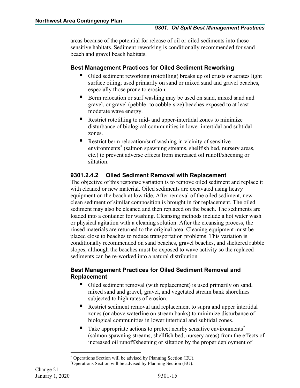areas because of the potential for release of oil or oiled sediments into these sensitive habitats. Sediment reworking is conditionally recommended for sand beach and gravel beach habitats.

# **Best Management Practices for Oiled Sediment Reworking**

- Oiled sediment reworking (rototilling) breaks up oil crusts or aerates light surface oiling; used primarily on sand or mixed sand and gravel beaches, especially those prone to erosion.
- Berm relocation or surf washing may be used on sand, mixed sand and gravel, or gravel (pebble- to cobble-size) beaches exposed to at least moderate wave energy.
- Restrict rototilling to mid- and upper-intertidal zones to minimize disturbance of biological communities in lower intertidal and subtidal zones.
- Restrict berm relocation/surf washing in vicinity of sensitive environments<sup>[\\*](#page-16-1)</sup> (salmon spawning streams, shellfish bed, nursery areas, etc.) to prevent adverse effects from increased oil runoff/sheening or siltation.

# <span id="page-16-0"></span>**9301.2.4.2 Oiled Sediment Removal with Replacement**

The objective of this response variation is to remove oiled sediment and replace it with cleaned or new material. Oiled sediments are excavated using heavy equipment on the beach at low tide. After removal of the oiled sediment, new clean sediment of similar composition is brought in for replacement. The oiled sediment may also be cleaned and then replaced on the beach. The sediments are loaded into a container for washing. Cleansing methods include a hot water wash or physical agitation with a cleaning solution. After the cleansing process, the rinsed materials are returned to the original area. Cleaning equipment must be placed close to beaches to reduce transportation problems. This variation is conditionally recommended on sand beaches, gravel beaches, and sheltered rubble slopes, although the beaches must be exposed to wave activity so the replaced sediments can be re-worked into a natural distribution.

# **Best Management Practices for Oiled Sediment Removal and Replacement**

- Oiled sediment removal (with replacement) is used primarily on sand, mixed sand and gravel, gravel, and vegetated stream bank shorelines subjected to high rates of erosion.
- Restrict sediment removal and replacement to supra and upper intertidal zones (or above waterline on stream banks) to minimize disturbance of biological communities in lower intertidal and subtidal zones.
- Take appropriate actions to protect nearby sensitive environments<sup>[\\*](#page-16-2)</sup> (salmon spawning streams, shellfish bed, nursery areas) from the effects of increased oil runoff/sheening or siltation by the proper deployment of

Operations Section will be advised by Planning Section (EU).

<span id="page-16-2"></span><span id="page-16-1"></span><sup>\*</sup> Operations Section will be advised by Planning Section (EU).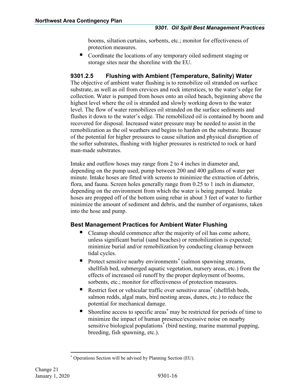booms, siltation curtains, sorbents, etc.; monitor for effectiveness of protection measures.

■ Coordinate the locations of any temporary oiled sediment staging or storage sites near the shoreline with the EU.

# <span id="page-17-0"></span>**9301.2.5 Flushing with Ambient (Temperature, Salinity) Water**

The objective of ambient water flushing is to remobilize oil stranded on surface substrate, as well as oil from crevices and rock interstices, to the water's edge for collection. Water is pumped from hoses onto an oiled beach, beginning above the highest level where the oil is stranded and slowly working down to the water level. The flow of water remobilizes oil stranded on the surface sediments and flushes it down to the water's edge. The remobilized oil is contained by boom and recovered for disposal. Increased water pressure may be needed to assist in the remobilization as the oil weathers and begins to harden on the substrate. Because of the potential for higher pressures to cause siltation and physical disruption of the softer substrates, flushing with higher pressures is restricted to rock or hard man-made substrates.

Intake and outflow hoses may range from 2 to 4 inches in diameter and, depending on the pump used, pump between 200 and 400 gallons of water per minute. Intake hoses are fitted with screens to minimize the extraction of debris, flora, and fauna. Screen holes generally range from 0.25 to 1 inch in diameter, depending on the environment from which the water is being pumped. Intake hoses are propped off of the bottom using rebar in about 3 feet of water to further minimize the amount of sediment and debris, and the number of organisms, taken into the hose and pump.

# **Best Management Practices for Ambient Water Flushing**

- Cleanup should commence after the majority of oil has come ashore, unless significant burial (sand beaches) or remobilization is expected; minimize burial and/or remobilization by conducting cleanup between tidal cycles.
- Protect sensitive nearby environments<sup>[\\*](#page-17-1)</sup> (salmon spawning streams, shellfish bed, submerged aquatic vegetation, nursery areas, etc.) from the effects of increased oil runoff by the proper deployment of booms, sorbents, etc.; monitor for effectiveness of protection measures.
- Restrict foot or vehicular traffic over sensitive areas<sup>\*</sup> (shellfish beds, salmon redds, algal mats, bird nesting areas, dunes, etc.) to reduce the potential for mechanical damage.
- Shoreline access to specific areas\* may be restricted for periods of time to minimize the impact of human presence/excessive noise on nearby sensitive biological populations\* (bird nesting, marine mammal pupping, breeding, fish spawning, etc.).

<span id="page-17-1"></span><sup>\*</sup> Operations Section will be advised by Planning Section (EU).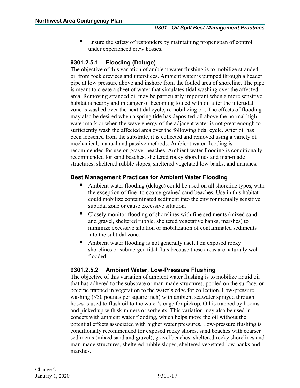Ensure the safety of responders by maintaining proper span of control under experienced crew bosses.

# <span id="page-18-0"></span>**9301.2.5.1 Flooding (Deluge)**

The objective of this variation of ambient water flushing is to mobilize stranded oil from rock crevices and interstices. Ambient water is pumped through a header pipe at low pressure above and inshore from the fouled area of shoreline. The pipe is meant to create a sheet of water that simulates tidal washing over the affected area. Removing stranded oil may be particularly important when a more sensitive habitat is nearby and in danger of becoming fouled with oil after the intertidal zone is washed over the next tidal cycle, remobilizing oil. The effects of flooding may also be desired when a spring tide has deposited oil above the normal high water mark or when the wave energy of the adjacent water is not great enough to sufficiently wash the affected area over the following tidal cycle. After oil has been loosened from the substrate, it is collected and removed using a variety of mechanical, manual and passive methods. Ambient water flooding is recommended for use on gravel beaches. Ambient water flooding is conditionally recommended for sand beaches, sheltered rocky shorelines and man-made structures, sheltered rubble slopes, sheltered vegetated low banks, and marshes.

# **Best Management Practices for Ambient Water Flooding**

- Ambient water flooding (deluge) could be used on all shoreline types, with the exception of fine- to coarse-grained sand beaches. Use in this habitat could mobilize contaminated sediment into the environmentally sensitive subtidal zone or cause excessive siltation.
- Closely monitor flooding of shorelines with fine sediments (mixed sand and gravel, sheltered rubble, sheltered vegetative banks, marshes) to minimize excessive siltation or mobilization of contaminated sediments into the subtidal zone.
- Ambient water flooding is not generally useful on exposed rocky shorelines or submerged tidal flats because these areas are naturally well flooded.

# <span id="page-18-1"></span>**9301.2.5.2 Ambient Water, Low-Pressure Flushing**

The objective of this variation of ambient water flushing is to mobilize liquid oil that has adhered to the substrate or man-made structures, pooled on the surface, or become trapped in vegetation to the water's edge for collection. Low-pressure washing (<50 pounds per square inch) with ambient seawater sprayed through hoses is used to flush oil to the water's edge for pickup. Oil is trapped by booms and picked up with skimmers or sorbents. This variation may also be used in concert with ambient water flooding, which helps move the oil without the potential effects associated with higher water pressures. Low-pressure flushing is conditionally recommended for exposed rocky shores, sand beaches with coarser sediments (mixed sand and gravel), gravel beaches, sheltered rocky shorelines and man-made structures, sheltered rubble slopes, sheltered vegetated low banks and marshes.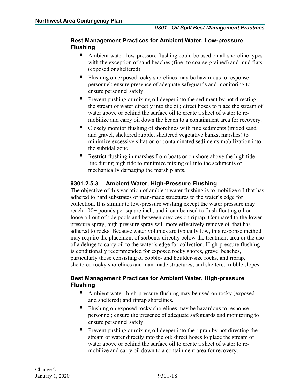#### **Best Management Practices for Ambient Water, Low-pressure Flushing**

- Ambient water, low-pressure flushing could be used on all shoreline types with the exception of sand beaches (fine- to coarse-grained) and mud flats (exposed or sheltered).
- Flushing on exposed rocky shorelines may be hazardous to response personnel; ensure presence of adequate safeguards and monitoring to ensure personnel safety.
- **Prevent pushing or mixing oil deeper into the sediment by not directing** the stream of water directly into the oil; direct hoses to place the stream of water above or behind the surface oil to create a sheet of water to remobilize and carry oil down the beach to a containment area for recovery.
- Closely monitor flushing of shorelines with fine sediments (mixed sand and gravel, sheltered rubble, sheltered vegetative banks, marshes) to minimize excessive siltation or contaminated sediments mobilization into the subtidal zone.
- Restrict flushing in marshes from boats or on shore above the high tide line during high tide to minimize mixing oil into the sediments or mechanically damaging the marsh plants.

# <span id="page-19-0"></span>**9301.2.5.3 Ambient Water, High-Pressure Flushing**

The objective of this variation of ambient water flushing is to mobilize oil that has adhered to hard substrates or man-made structures to the water's edge for collection. It is similar to low-pressure washing except the water pressure may reach 100+ pounds per square inch, and it can be used to flush floating oil or loose oil out of tide pools and between crevices on riprap. Compared to the lower pressure spray, high-pressure spray will more effectively remove oil that has adhered to rocks. Because water volumes are typically low, this response method may require the placement of sorbents directly below the treatment area or the use of a deluge to carry oil to the water's edge for collection. High-pressure flushing is conditionally recommended for exposed rocky shores, gravel beaches, particularly those consisting of cobble- and boulder-size rocks, and riprap, sheltered rocky shorelines and man-made structures, and sheltered rubble slopes.

# **Best Management Practices for Ambient Water, High-pressure Flushing**

- Ambient water, high-pressure flushing may be used on rocky (exposed and sheltered) and riprap shorelines.
- Flushing on exposed rocky shorelines may be hazardous to response personnel; ensure the presence of adequate safeguards and monitoring to ensure personnel safety.
- Prevent pushing or mixing oil deeper into the riprap by not directing the stream of water directly into the oil; direct hoses to place the stream of water above or behind the surface oil to create a sheet of water to remobilize and carry oil down to a containment area for recovery.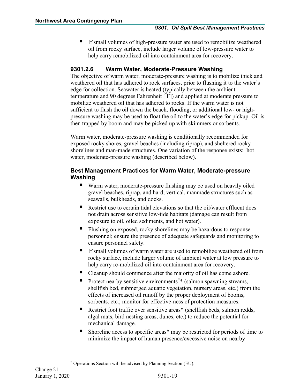If small volumes of high-pressure water are used to remobilize weathered oil from rocky surface, include larger volume of low-pressure water to help carry remobilized oil into containment area for recovery.

# <span id="page-20-0"></span>**9301.2.6 Warm Water, Moderate-Pressure Washing**

The objective of warm water, moderate-pressure washing is to mobilize thick and weathered oil that has adhered to rock surfaces, prior to flushing it to the water's edge for collection. Seawater is heated (typically between the ambient temperature and 90 degrees Fahrenheit [ º F]) and applied at moderate pressure to mobilize weathered oil that has adhered to rocks. If the warm water is not sufficient to flush the oil down the beach, flooding, or additional low- or highpressure washing may be used to float the oil to the water's edge for pickup. Oil is then trapped by boom and may be picked up with skimmers or sorbents.

Warm water, moderate-pressure washing is conditionally recommended for exposed rocky shores, gravel beaches (including riprap), and sheltered rocky shorelines and man-made structures. One variation of the response exists: hot water, moderate-pressure washing (described below).

# **Best Management Practices for Warm Water, Moderate-pressure Washing**

- Warm water, moderate-pressure flushing may be used on heavily oiled gravel beaches, riprap, and hard, vertical, manmade structures such as seawalls, bulkheads, and docks.
- Restrict use to certain tidal elevations so that the oil/water effluent does not drain across sensitive low-tide habitats (damage can result from exposure to oil, oiled sediments, and hot water).
- Flushing on exposed, rocky shorelines may be hazardous to response personnel; ensure the presence of adequate safeguards and monitoring to ensure personnel safety.
- If small volumes of warm water are used to remobilize weathered oil from rocky surface, include larger volume of ambient water at low pressure to help carry re-mobilized oil into containment area for recovery.
- Cleanup should commence after the majority of oil has come ashore.
- **Protect nearby sensitive environments**<sup>[\\*](#page-20-1)</sup> (salmon spawning streams, shellfish bed, submerged aquatic vegetation, nursery areas, etc.) from the effects of increased oil runoff by the proper deployment of booms, sorbents, etc.; monitor for effective-ness of protection measures.
- Restrict foot traffic over sensitive areas\* (shellfish beds, salmon redds, algal mats, bird nesting areas, dunes, etc.) to reduce the potential for mechanical damage.
- Shoreline access to specific areas\* may be restricted for periods of time to minimize the impact of human presence/excessive noise on nearby

<span id="page-20-1"></span><sup>\*</sup> Operations Section will be advised by Planning Section (EU).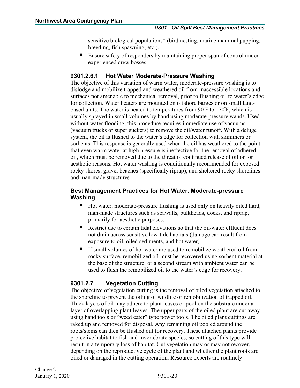sensitive biological populations\* (bird nesting, marine mammal pupping, breeding, fish spawning, etc.).

 Ensure safety of responders by maintaining proper span of control under experienced crew bosses.

# <span id="page-21-0"></span>**9301.2.6.1 Hot Water Moderate-Pressure Washing**

The objective of this variation of warm water, moderate-pressure washing is to dislodge and mobilize trapped and weathered oil from inaccessible locations and surfaces not amenable to mechanical removal, prior to flushing oil to water's edge for collection. Water heaters are mounted on offshore barges or on small landbased units. The water is heated to temperatures from 90<sup>º</sup> F to 170º F, which is usually sprayed in small volumes by hand using moderate-pressure wands. Used without water flooding, this procedure requires immediate use of vacuums (vacuum trucks or super suckers) to remove the oil/water runoff. With a deluge system, the oil is flushed to the water's edge for collection with skimmers or sorbents. This response is generally used when the oil has weathered to the point that even warm water at high pressure is ineffective for the removal of adhered oil, which must be removed due to the threat of continued release of oil or for aesthetic reasons. Hot water washing is conditionally recommended for exposed rocky shores, gravel beaches (specifically riprap), and sheltered rocky shorelines and man-made structures

# **Best Management Practices for Hot Water, Moderate-pressure Washing**

- Hot water, moderate-pressure flushing is used only on heavily oiled hard, man-made structures such as seawalls, bulkheads, docks, and riprap, primarily for aesthetic purposes.
- Restrict use to certain tidal elevations so that the oil/water effluent does not drain across sensitive low-tide habitats (damage can result from exposure to oil, oiled sediments, and hot water).
- If small volumes of hot water are used to remobilize weathered oil from rocky surface, remobilized oil must be recovered using sorbent material at the base of the structure; or a second stream with ambient water can be used to flush the remobilized oil to the water's edge for recovery.

# <span id="page-21-1"></span>**9301.2.7 Vegetation Cutting**

The objective of vegetation cutting is the removal of oiled vegetation attached to the shoreline to prevent the oiling of wildlife or remobilization of trapped oil. Thick layers of oil may adhere to plant leaves or pool on the substrate under a layer of overlapping plant leaves. The upper parts of the oiled plant are cut away using hand tools or "weed eater" type power tools. The oiled plant cuttings are raked up and removed for disposal. Any remaining oil pooled around the roots/stems can then be flushed out for recovery. These attached plants provide protective habitat to fish and invertebrate species, so cutting of this type will result in a temporary loss of habitat. Cut vegetation may or may not recover, depending on the reproductive cycle of the plant and whether the plant roots are oiled or damaged in the cutting operation. Resource experts are routinely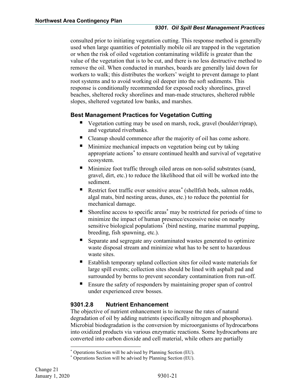consulted prior to initiating vegetation cutting. This response method is generally used when large quantities of potentially mobile oil are trapped in the vegetation or when the risk of oiled vegetation contaminating wildlife is greater than the value of the vegetation that is to be cut, and there is no less destructive method to remove the oil. When conducted in marshes, boards are generally laid down for workers to walk; this distributes the workers' weight to prevent damage to plant root systems and to avoid working oil deeper into the soft sediments. This response is conditionally recommended for exposed rocky shorelines, gravel beaches, sheltered rocky shorelines and man-made structures, sheltered rubble slopes, sheltered vegetated low banks, and marshes.

# **Best Management Practices for Vegetation Cutting**

- Vegetation cutting may be used on marsh, rock, gravel (boulder/riprap), and vegetated riverbanks.
- Cleanup should commence after the majority of oil has come ashore.
- Minimize mechanical impacts on vegetation being cut by taking appropriate actions[\\*](#page-22-1) to ensure continued health and survival of vegetative ecosystem.
- Minimize foot traffic through oiled areas on non-solid substrates (sand, gravel, dirt, etc.) to reduce the likelihood that oil will be worked into the sediment.
- Restrict foot traffic over sensitive areas<sup>[\\*](#page-22-2)</sup> (shellfish beds, salmon redds, algal mats, bird nesting areas, dunes, etc.) to reduce the potential for mechanical damage.
- Shoreline access to specific areas\* may be restricted for periods of time to minimize the impact of human presence/excessive noise on nearby sensitive biological populations<sup>\*</sup> (bird nesting, marine mammal pupping, breeding, fish spawning, etc.).
- Separate and segregate any contaminated wastes generated to optimize waste disposal stream and minimize what has to be sent to hazardous waste sites.
- Establish temporary upland collection sites for oiled waste materials for large spill events; collection sites should be lined with asphalt pad and surrounded by berms to prevent secondary contamination from run-off.
- Ensure the safety of responders by maintaining proper span of control under experienced crew bosses.

# <span id="page-22-0"></span>**9301.2.8 Nutrient Enhancement**

The objective of nutrient enhancement is to increase the rates of natural degradation of oil by adding nutrients (specifically nitrogen and phosphorus). Microbial biodegradation is the conversion by microorganisms of hydrocarbons into oxidized products via various enzymatic reactions. Some hydrocarbons are converted into carbon dioxide and cell material, while others are partially

<sup>\*</sup> Operations Section will be advised by Planning Section (EU).

<span id="page-22-2"></span><span id="page-22-1"></span><sup>\*</sup> Operations Section will be advised by Planning Section (EU).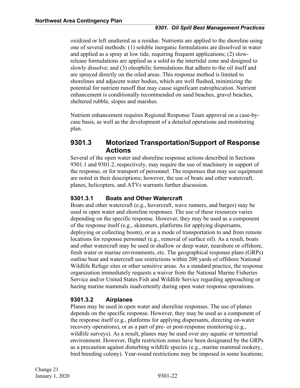oxidized or left unaltered as a residue. Nutrients are applied to the shoreline using one of several methods: (1) soluble inorganic formulations are dissolved in water and applied as a spray at low tide, requiring frequent applications; (2) slowrelease formulations are applied as a solid to the intertidal zone and designed to slowly dissolve; and (3) oleophilic formulations that adhere to the oil itself and are sprayed directly on the oiled areas. This response method is limited to shorelines and adjacent water bodies, which are well flushed, minimizing the potential for nutrient runoff that may cause significant eutrophication. Nutrient enhancement is conditionally recommended on sand beaches, gravel beaches, sheltered rubble, slopes and marshes.

Nutrient enhancement requires Regional Response Team approval on a case-bycase basis, as well as the development of a detailed operations and monitoring plan.

# <span id="page-23-0"></span>**9301.3 Motorized Transportation/Support of Response Actions**

Several of the open water and shoreline response actions described in Sections 9301.1 and 9301.2, respectively, may require the use of machinery in support of the response, or for transport of personnel. The responses that may use equipment are noted in their descriptions; however, the use of boats and other watercraft, planes, helicopters, and ATVs warrants further discussion.

#### <span id="page-23-1"></span>**9301.3.1 Boats and Other Watercraft**

Boats and other watercraft (e.g., hovercraft, wave runners, and barges) may be used in open water and shoreline responses. The use of these resources varies depending on the specific response. However, they may be used as a component of the response itself (e.g., skimmers, platforms for applying dispersants, deploying or collecting boom), or as a mode of transportation to and from remote locations for response personnel (e.g., removal of surface oil). As a result, boats and other watercraft may be used in shallow or deep water, nearshore or offshore, fresh water or marine environments, etc. The geographical response plans (GRPs) outline boat and watercraft use restrictions within 200 yards of offshore National Wildlife Refuge sites or other sensitive areas. As a standard practice, the response organization immediately requests a waiver from the National Marine Fisheries Service and/or United States Fish and Wildlife Service regarding approaching or hazing marine mammals inadvertently during open water response operations.

# <span id="page-23-2"></span>**9301.3.2 Airplanes**

Planes may be used in open water and shoreline responses. The use of planes depends on the specific response. However, they may be used as a component of the response itself (e.g., platforms for applying dispersants, directing on-water recovery operations), or as a part of pre- or post-response monitoring (e.g., wildlife surveys). As a result, planes may be used over any aquatic or terrestrial environment. However, flight restriction zones have been designated by the GRPs as a precaution against disturbing wildlife species (e.g., marine mammal rookery, bird breeding colony). Year-round restrictions may be imposed in some locations;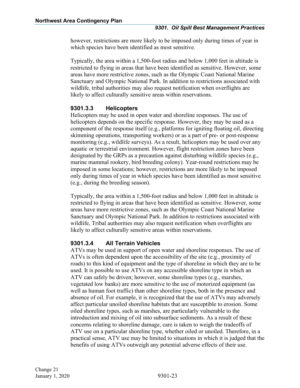however, restrictions are more likely to be imposed only during times of year in which species have been identified as most sensitive.

Typically, the area within a 1,500-foot radius and below 1,000 feet in altitude is restricted to flying in areas that have been identified as sensitive. However, some areas have more restrictive zones, such as the Olympic Coast National Marine Sanctuary and Olympic National Park. In addition to restrictions associated with wildlife, tribal authorities may also request notification when overflights are likely to affect culturally sensitive areas within reservations.

#### <span id="page-24-0"></span>**9301.3.3 Helicopters**

Helicopters may be used in open water and shoreline responses. The use of helicopters depends on the specific response. However, they may be used as a component of the response itself (e.g., platforms for igniting floating oil, directing skimming operations, transporting workers) or as a part of pre- or post-response monitoring (e.g., wildlife surveys). As a result, helicopters may be used over any aquatic or terrestrial environment. However, flight restriction zones have been designated by the GRPs as a precaution against disturbing wildlife species (e.g., marine mammal rookery, bird breeding colony). Year-round restrictions may be imposed in some locations; however, restrictions are more likely to be imposed only during times of year in which species have been identified as most sensitive (e.g., during the breeding season).

Typically, the area within a 1,500-foot radius and below 1,000 feet in altitude is restricted to flying in areas that have been identified as sensitive. However, some areas have more restrictive zones, such as the Olympic Coast National Marine Sanctuary and Olympic National Park. In addition to restrictions associated with wildlife, Tribal authorities may also request notification when overflights are likely to affect culturally sensitive areas within reservations.

#### <span id="page-24-1"></span>**9301.3.4 All Terrain Vehicles**

ATVs may be used in support of open water and shoreline responses. The use of ATVs is often dependent upon the accessibility of the site (e.g., proximity of roads) to this kind of equipment and the type of shoreline in which they are to be used. It is possible to use ATVs on any accessible shoreline type in which an ATV can safely be driven; however, some shoreline types (e.g., marshes, vegetated low banks) are more sensitive to the use of motorized equipment (as well as human foot traffic) than other shoreline types, both in the presence and absence of oil. For example, it is recognized that the use of ATVs may adversely affect particular unoiled shoreline habitats that are susceptible to erosion. Some oiled shoreline types, such as marshes, are particularly vulnerable to the introduction and mixing of oil into subsurface sediments. As a result of these concerns relating to shoreline damage, care is taken to weigh the tradeoffs of ATV use on a particular shoreline type, whether oiled or unoiled. Therefore, in a practical sense, ATV use may be limited to situations in which it is judged that the benefits of using ATVs outweigh any potential adverse effects of their use.